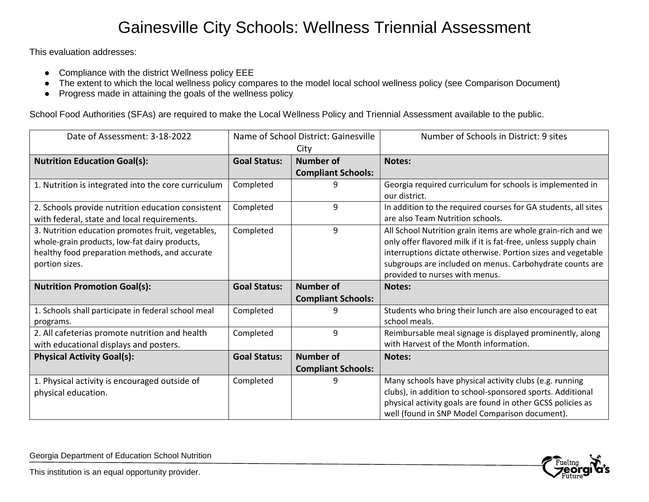## Gainesville City Schools: Wellness Triennial Assessment

This evaluation addresses:

- Compliance with the district Wellness policy EEE
- The extent to which the local wellness policy compares to the model local school wellness policy (see Comparison Document)
- Progress made in attaining the goals of the wellness policy

School Food Authorities (SFAs) are required to make the Local Wellness Policy and Triennial Assessment available to the public.

| Date of Assessment: 3-18-2022                                                                                                                                           | Name of School District: Gainesville |                                               | Number of Schools in District: 9 sites                                                                                                                                                                                                                                                        |
|-------------------------------------------------------------------------------------------------------------------------------------------------------------------------|--------------------------------------|-----------------------------------------------|-----------------------------------------------------------------------------------------------------------------------------------------------------------------------------------------------------------------------------------------------------------------------------------------------|
|                                                                                                                                                                         | City                                 |                                               |                                                                                                                                                                                                                                                                                               |
| <b>Nutrition Education Goal(s):</b>                                                                                                                                     | <b>Goal Status:</b>                  | Number of                                     | <b>Notes:</b>                                                                                                                                                                                                                                                                                 |
|                                                                                                                                                                         |                                      | <b>Compliant Schools:</b>                     |                                                                                                                                                                                                                                                                                               |
| 1. Nutrition is integrated into the core curriculum                                                                                                                     | Completed                            | 9                                             | Georgia required curriculum for schools is implemented in<br>our district.                                                                                                                                                                                                                    |
| 2. Schools provide nutrition education consistent<br>with federal, state and local requirements.                                                                        | Completed                            | 9                                             | In addition to the required courses for GA students, all sites<br>are also Team Nutrition schools.                                                                                                                                                                                            |
| 3. Nutrition education promotes fruit, vegetables,<br>whole-grain products, low-fat dairy products,<br>healthy food preparation methods, and accurate<br>portion sizes. | Completed                            | 9                                             | All School Nutrition grain items are whole grain-rich and we<br>only offer flavored milk if it is fat-free, unless supply chain<br>interruptions dictate otherwise. Portion sizes and vegetable<br>subgroups are included on menus. Carbohydrate counts are<br>provided to nurses with menus. |
| <b>Nutrition Promotion Goal(s):</b>                                                                                                                                     | <b>Goal Status:</b>                  | <b>Number of</b><br><b>Compliant Schools:</b> | <b>Notes:</b>                                                                                                                                                                                                                                                                                 |
| 1. Schools shall participate in federal school meal<br>programs.                                                                                                        | Completed                            | 9                                             | Students who bring their lunch are also encouraged to eat<br>school meals.                                                                                                                                                                                                                    |
| 2. All cafeterias promote nutrition and health<br>with educational displays and posters.                                                                                | Completed                            | 9                                             | Reimbursable meal signage is displayed prominently, along<br>with Harvest of the Month information.                                                                                                                                                                                           |
| <b>Physical Activity Goal(s):</b>                                                                                                                                       | <b>Goal Status:</b>                  | <b>Number of</b><br><b>Compliant Schools:</b> | Notes:                                                                                                                                                                                                                                                                                        |
| 1. Physical activity is encouraged outside of<br>physical education.                                                                                                    | Completed                            |                                               | Many schools have physical activity clubs (e.g. running<br>clubs), in addition to school-sponsored sports. Additional<br>physical activity goals are found in other GCSS policies as<br>well (found in SNP Model Comparison document).                                                        |

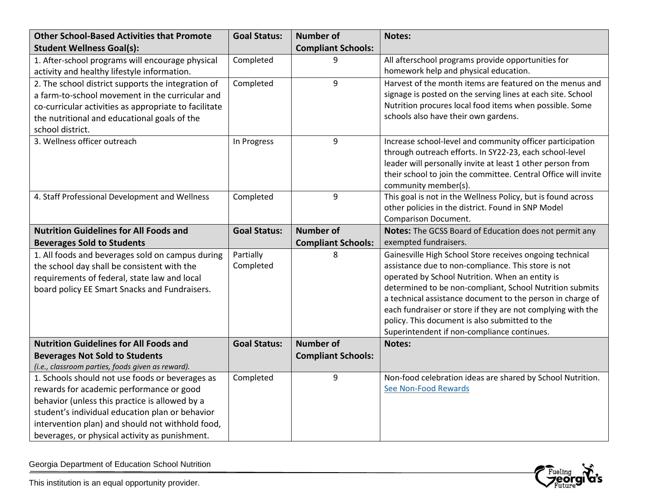| <b>Other School-Based Activities that Promote</b>     | <b>Goal Status:</b> | <b>Number of</b>          | Notes:                                                                               |
|-------------------------------------------------------|---------------------|---------------------------|--------------------------------------------------------------------------------------|
| <b>Student Wellness Goal(s):</b>                      |                     | <b>Compliant Schools:</b> |                                                                                      |
| 1. After-school programs will encourage physical      | Completed           | 9                         | All afterschool programs provide opportunities for                                   |
| activity and healthy lifestyle information.           |                     |                           | homework help and physical education.                                                |
| 2. The school district supports the integration of    | Completed           | 9                         | Harvest of the month items are featured on the menus and                             |
| a farm-to-school movement in the curricular and       |                     |                           | signage is posted on the serving lines at each site. School                          |
| co-curricular activities as appropriate to facilitate |                     |                           | Nutrition procures local food items when possible. Some                              |
| the nutritional and educational goals of the          |                     |                           | schools also have their own gardens.                                                 |
| school district.                                      |                     |                           |                                                                                      |
| 3. Wellness officer outreach                          | In Progress         | 9                         | Increase school-level and community officer participation                            |
|                                                       |                     |                           | through outreach efforts. In SY22-23, each school-level                              |
|                                                       |                     |                           | leader will personally invite at least 1 other person from                           |
|                                                       |                     |                           | their school to join the committee. Central Office will invite                       |
| 4. Staff Professional Development and Wellness        | Completed           | 9                         | community member(s).<br>This goal is not in the Wellness Policy, but is found across |
|                                                       |                     |                           | other policies in the district. Found in SNP Model                                   |
|                                                       |                     |                           | Comparison Document.                                                                 |
| <b>Nutrition Guidelines for All Foods and</b>         | <b>Goal Status:</b> | <b>Number of</b>          | Notes: The GCSS Board of Education does not permit any                               |
| <b>Beverages Sold to Students</b>                     |                     | <b>Compliant Schools:</b> | exempted fundraisers.                                                                |
| 1. All foods and beverages sold on campus during      | Partially           | 8                         | Gainesville High School Store receives ongoing technical                             |
| the school day shall be consistent with the           | Completed           |                           | assistance due to non-compliance. This store is not                                  |
| requirements of federal, state law and local          |                     |                           | operated by School Nutrition. When an entity is                                      |
| board policy EE Smart Snacks and Fundraisers.         |                     |                           | determined to be non-compliant, School Nutrition submits                             |
|                                                       |                     |                           | a technical assistance document to the person in charge of                           |
|                                                       |                     |                           | each fundraiser or store if they are not complying with the                          |
|                                                       |                     |                           | policy. This document is also submitted to the                                       |
|                                                       |                     |                           | Superintendent if non-compliance continues.                                          |
| <b>Nutrition Guidelines for All Foods and</b>         | <b>Goal Status:</b> | <b>Number of</b>          | Notes:                                                                               |
| <b>Beverages Not Sold to Students</b>                 |                     | <b>Compliant Schools:</b> |                                                                                      |
| (i.e., classroom parties, foods given as reward).     |                     |                           |                                                                                      |
| 1. Schools should not use foods or beverages as       | Completed           | 9                         | Non-food celebration ideas are shared by School Nutrition.                           |
| rewards for academic performance or good              |                     |                           | See Non-Food Rewards                                                                 |
| behavior (unless this practice is allowed by a        |                     |                           |                                                                                      |
| student's individual education plan or behavior       |                     |                           |                                                                                      |
| intervention plan) and should not withhold food,      |                     |                           |                                                                                      |
| beverages, or physical activity as punishment.        |                     |                           |                                                                                      |

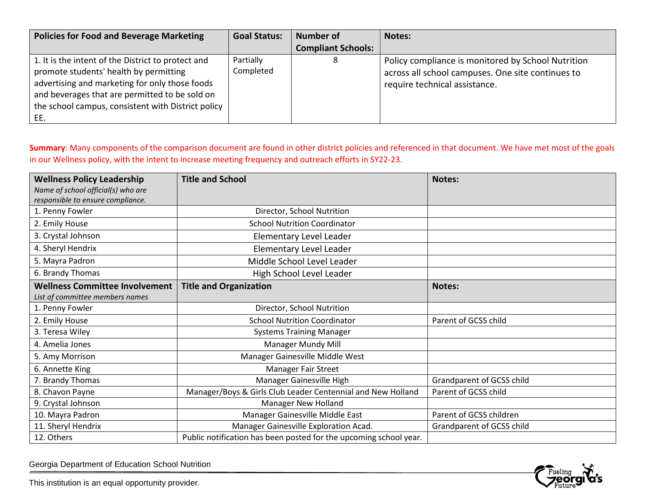| <b>Policies for Food and Beverage Marketing</b>                                                                                                                                                                                                               | <b>Goal Status:</b>    | <b>Number of</b>          | Notes:                                                                                                                                   |
|---------------------------------------------------------------------------------------------------------------------------------------------------------------------------------------------------------------------------------------------------------------|------------------------|---------------------------|------------------------------------------------------------------------------------------------------------------------------------------|
|                                                                                                                                                                                                                                                               |                        | <b>Compliant Schools:</b> |                                                                                                                                          |
| 1. It is the intent of the District to protect and<br>promote students' health by permitting<br>advertising and marketing for only those foods<br>and beverages that are permitted to be sold on<br>the school campus, consistent with District policy<br>EE. | Partially<br>Completed |                           | Policy compliance is monitored by School Nutrition<br>across all school campuses. One site continues to<br>require technical assistance. |

**Summary**: Many components of the comparison document are found in other district policies and referenced in that document. We have met most of the goals in our Wellness policy, with the intent to increase meeting frequency and outreach efforts in SY22-23.

| <b>Wellness Policy Leadership</b>     | <b>Title and School</b>                                           | <b>Notes:</b>             |
|---------------------------------------|-------------------------------------------------------------------|---------------------------|
| Name of school official(s) who are    |                                                                   |                           |
| responsible to ensure compliance.     |                                                                   |                           |
| 1. Penny Fowler                       | Director, School Nutrition                                        |                           |
| 2. Emily House                        | <b>School Nutrition Coordinator</b>                               |                           |
| 3. Crystal Johnson                    | <b>Elementary Level Leader</b>                                    |                           |
| 4. Sheryl Hendrix                     | Elementary Level Leader                                           |                           |
| 5. Mayra Padron                       | Middle School Level Leader                                        |                           |
| 6. Brandy Thomas                      | High School Level Leader                                          |                           |
| <b>Wellness Committee Involvement</b> | <b>Title and Organization</b>                                     | <b>Notes:</b>             |
| List of committee members names       |                                                                   |                           |
| 1. Penny Fowler                       | Director, School Nutrition                                        |                           |
| 2. Emily House                        | <b>School Nutrition Coordinator</b>                               | Parent of GCSS child      |
| 3. Teresa Wiley                       | <b>Systems Training Manager</b>                                   |                           |
| 4. Amelia Jones                       | Manager Mundy Mill                                                |                           |
| 5. Amy Morrison                       | Manager Gainesville Middle West                                   |                           |
| 6. Annette King                       | Manager Fair Street                                               |                           |
| 7. Brandy Thomas                      | Manager Gainesville High                                          | Grandparent of GCSS child |
| 8. Chavon Payne                       | Manager/Boys & Girls Club Leader Centennial and New Holland       | Parent of GCSS child      |
| 9. Crystal Johnson                    | Manager New Holland                                               |                           |
| 10. Mayra Padron                      | Manager Gainesville Middle East                                   | Parent of GCSS children   |
| 11. Sheryl Hendrix                    | Manager Gainesville Exploration Acad.                             | Grandparent of GCSS child |
| 12. Others                            | Public notification has been posted for the upcoming school year. |                           |

\_\_\_\_\_\_\_\_\_\_\_\_\_\_\_\_\_\_\_\_\_\_\_\_\_\_\_\_\_\_\_\_\_\_\_\_\_\_\_\_\_\_\_\_\_\_\_\_\_\_\_\_\_\_\_\_\_\_\_\_\_\_\_\_\_\_\_\_\_\_\_\_\_\_\_\_\_\_\_\_\_\_\_\_\_\_\_\_\_\_\_\_\_\_\_\_\_\_\_\_\_ Georgia Department of Education School Nutrition